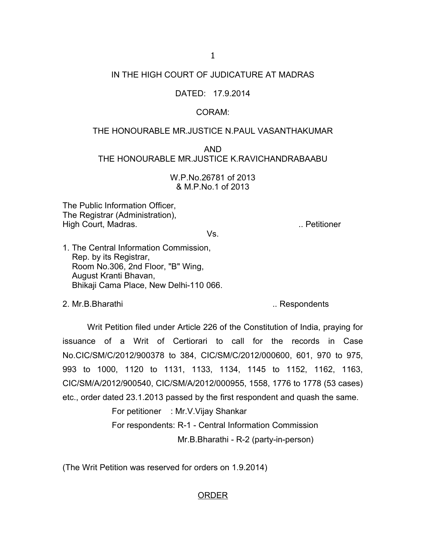# IN THE HIGH COURT OF JUDICATURE AT MADRAS

## DATED: 17.9.2014

### CORAM:

#### THE HONOURABLE MR.JUSTICE N.PAUL VASANTHAKUMAR

AND THE HONOURABLE MR.JUSTICE K.RAVICHANDRABAABU

> W.P.No.26781 of 2013 & M.P.No.1 of 2013

The Public Information Officer, The Registrar (Administration), High Court, Madras. **... Petitioner** and the set of the set of the set of the set of the set of the set of the set of the set of the set of the set of the set of the set of the set of the set of the set of the set of the s

Vs.

1. The Central Information Commission, Rep. by its Registrar, Room No.306, 2nd Floor, "B" Wing, August Kranti Bhavan, Bhikaji Cama Place, New Delhi-110 066.

2. Mr.B.Bharathi ... **All and Solution Contract Contract Contract Contract Contract Contract Contract Contract Contract Contract Contract Contract Contract Contract Contract Contract Contract Contract Contract Contract Con** 

Writ Petition filed under Article 226 of the Constitution of India, praying for issuance of a Writ of Certiorari to call for the records in Case No.CIC/SM/C/2012/900378 to 384, CIC/SM/C/2012/000600, 601, 970 to 975, 993 to 1000, 1120 to 1131, 1133, 1134, 1145 to 1152, 1162, 1163, CIC/SM/A/2012/900540, CIC/SM/A/2012/000955, 1558, 1776 to 1778 (53 cases) etc., order dated 23.1.2013 passed by the first respondent and quash the same.

> For petitioner : Mr.V.Vijay Shankar For respondents: R-1 - Central Information Commission

Mr.B.Bharathi - R-2 (party-in-person)

(The Writ Petition was reserved for orders on 1.9.2014)

### ORDER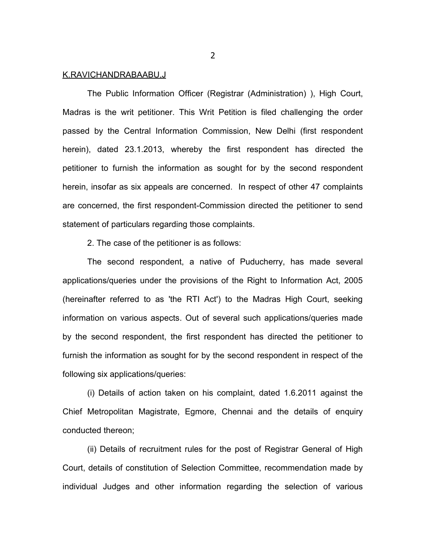#### K.RAVICHANDRABAABU,J

The Public Information Officer (Registrar (Administration) ), High Court, Madras is the writ petitioner. This Writ Petition is filed challenging the order passed by the Central Information Commission, New Delhi (first respondent herein), dated 23.1.2013, whereby the first respondent has directed the petitioner to furnish the information as sought for by the second respondent herein, insofar as six appeals are concerned. In respect of other 47 complaints are concerned, the first respondent-Commission directed the petitioner to send statement of particulars regarding those complaints.

2. The case of the petitioner is as follows:

The second respondent, a native of Puducherry, has made several applications/queries under the provisions of the Right to Information Act, 2005 (hereinafter referred to as 'the RTI Act') to the Madras High Court, seeking information on various aspects. Out of several such applications/queries made by the second respondent, the first respondent has directed the petitioner to furnish the information as sought for by the second respondent in respect of the following six applications/queries:

(i) Details of action taken on his complaint, dated 1.6.2011 against the Chief Metropolitan Magistrate, Egmore, Chennai and the details of enquiry conducted thereon;

(ii) Details of recruitment rules for the post of Registrar General of High Court, details of constitution of Selection Committee, recommendation made by individual Judges and other information regarding the selection of various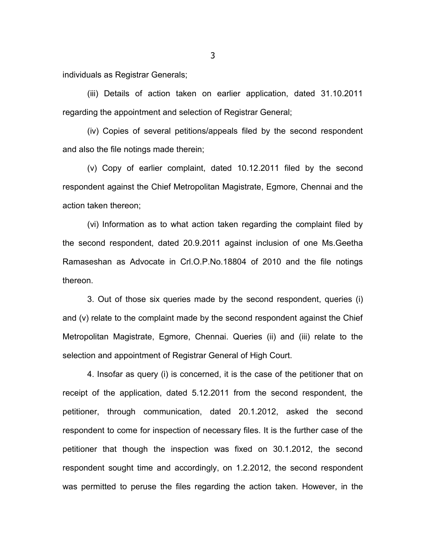individuals as Registrar Generals;

(iii) Details of action taken on earlier application, dated 31.10.2011 regarding the appointment and selection of Registrar General;

(iv) Copies of several petitions/appeals filed by the second respondent and also the file notings made therein;

(v) Copy of earlier complaint, dated 10.12.2011 filed by the second respondent against the Chief Metropolitan Magistrate, Egmore, Chennai and the action taken thereon;

(vi) Information as to what action taken regarding the complaint filed by the second respondent, dated 20.9.2011 against inclusion of one Ms.Geetha Ramaseshan as Advocate in Crl.O.P.No.18804 of 2010 and the file notings thereon.

3. Out of those six queries made by the second respondent, queries (i) and (v) relate to the complaint made by the second respondent against the Chief Metropolitan Magistrate, Egmore, Chennai. Queries (ii) and (iii) relate to the selection and appointment of Registrar General of High Court.

4. Insofar as query (i) is concerned, it is the case of the petitioner that on receipt of the application, dated 5.12.2011 from the second respondent, the petitioner, through communication, dated 20.1.2012, asked the second respondent to come for inspection of necessary files. It is the further case of the petitioner that though the inspection was fixed on 30.1.2012, the second respondent sought time and accordingly, on 1.2.2012, the second respondent was permitted to peruse the files regarding the action taken. However, in the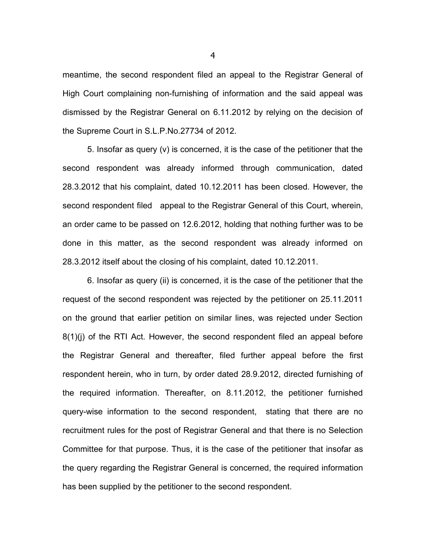meantime, the second respondent filed an appeal to the Registrar General of High Court complaining non-furnishing of information and the said appeal was dismissed by the Registrar General on 6.11.2012 by relying on the decision of the Supreme Court in S.L.P.No.27734 of 2012.

5. Insofar as query (v) is concerned, it is the case of the petitioner that the second respondent was already informed through communication, dated 28.3.2012 that his complaint, dated 10.12.2011 has been closed. However, the second respondent filed appeal to the Registrar General of this Court, wherein, an order came to be passed on 12.6.2012, holding that nothing further was to be done in this matter, as the second respondent was already informed on 28.3.2012 itself about the closing of his complaint, dated 10.12.2011.

6. Insofar as query (ii) is concerned, it is the case of the petitioner that the request of the second respondent was rejected by the petitioner on 25.11.2011 on the ground that earlier petition on similar lines, was rejected under Section 8(1)(j) of the RTI Act. However, the second respondent filed an appeal before the Registrar General and thereafter, filed further appeal before the first respondent herein, who in turn, by order dated 28.9.2012, directed furnishing of the required information. Thereafter, on 8.11.2012, the petitioner furnished query-wise information to the second respondent, stating that there are no recruitment rules for the post of Registrar General and that there is no Selection Committee for that purpose. Thus, it is the case of the petitioner that insofar as the query regarding the Registrar General is concerned, the required information has been supplied by the petitioner to the second respondent.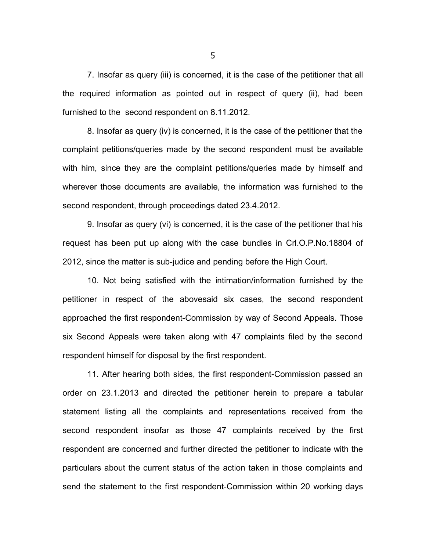7. Insofar as query (iii) is concerned, it is the case of the petitioner that all the required information as pointed out in respect of query (ii), had been furnished to the second respondent on 8.11.2012.

8. Insofar as query (iv) is concerned, it is the case of the petitioner that the complaint petitions/queries made by the second respondent must be available with him, since they are the complaint petitions/queries made by himself and wherever those documents are available, the information was furnished to the second respondent, through proceedings dated 23.4.2012.

9. Insofar as query (vi) is concerned, it is the case of the petitioner that his request has been put up along with the case bundles in Crl.O.P.No.18804 of 2012, since the matter is sub-judice and pending before the High Court.

10. Not being satisfied with the intimation/information furnished by the petitioner in respect of the abovesaid six cases, the second respondent approached the first respondent-Commission by way of Second Appeals. Those six Second Appeals were taken along with 47 complaints filed by the second respondent himself for disposal by the first respondent.

11. After hearing both sides, the first respondent-Commission passed an order on 23.1.2013 and directed the petitioner herein to prepare a tabular statement listing all the complaints and representations received from the second respondent insofar as those 47 complaints received by the first respondent are concerned and further directed the petitioner to indicate with the particulars about the current status of the action taken in those complaints and send the statement to the first respondent-Commission within 20 working days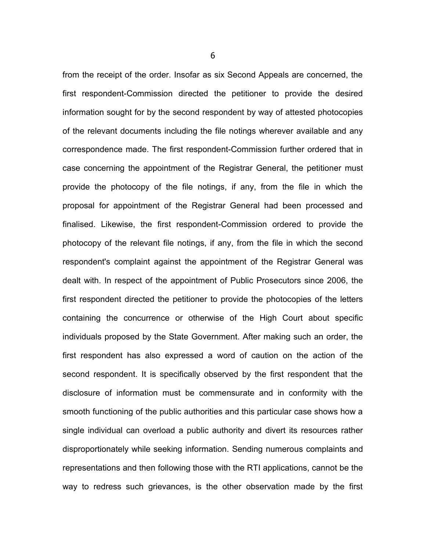from the receipt of the order. Insofar as six Second Appeals are concerned, the first respondent-Commission directed the petitioner to provide the desired information sought for by the second respondent by way of attested photocopies of the relevant documents including the file notings wherever available and any correspondence made. The first respondent-Commission further ordered that in case concerning the appointment of the Registrar General, the petitioner must provide the photocopy of the file notings, if any, from the file in which the proposal for appointment of the Registrar General had been processed and finalised. Likewise, the first respondent-Commission ordered to provide the photocopy of the relevant file notings, if any, from the file in which the second respondent's complaint against the appointment of the Registrar General was dealt with. In respect of the appointment of Public Prosecutors since 2006, the first respondent directed the petitioner to provide the photocopies of the letters containing the concurrence or otherwise of the High Court about specific individuals proposed by the State Government. After making such an order, the first respondent has also expressed a word of caution on the action of the second respondent. It is specifically observed by the first respondent that the disclosure of information must be commensurate and in conformity with the smooth functioning of the public authorities and this particular case shows how a single individual can overload a public authority and divert its resources rather disproportionately while seeking information. Sending numerous complaints and representations and then following those with the RTI applications, cannot be the way to redress such grievances, is the other observation made by the first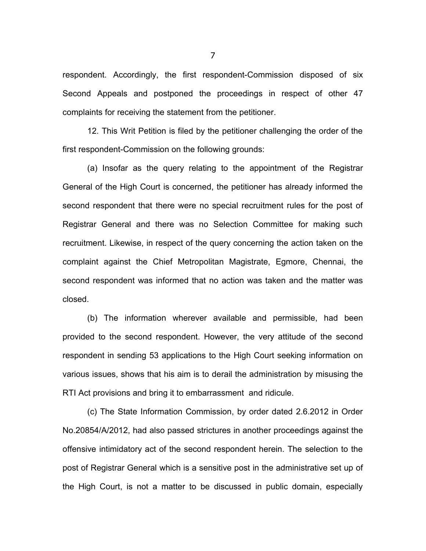respondent. Accordingly, the first respondent-Commission disposed of six Second Appeals and postponed the proceedings in respect of other 47 complaints for receiving the statement from the petitioner.

12. This Writ Petition is filed by the petitioner challenging the order of the first respondent-Commission on the following grounds:

(a) Insofar as the query relating to the appointment of the Registrar General of the High Court is concerned, the petitioner has already informed the second respondent that there were no special recruitment rules for the post of Registrar General and there was no Selection Committee for making such recruitment. Likewise, in respect of the query concerning the action taken on the complaint against the Chief Metropolitan Magistrate, Egmore, Chennai, the second respondent was informed that no action was taken and the matter was closed.

(b) The information wherever available and permissible, had been provided to the second respondent. However, the very attitude of the second respondent in sending 53 applications to the High Court seeking information on various issues, shows that his aim is to derail the administration by misusing the RTI Act provisions and bring it to embarrassment and ridicule.

(c) The State Information Commission, by order dated 2.6.2012 in Order No.20854/A/2012, had also passed strictures in another proceedings against the offensive intimidatory act of the second respondent herein. The selection to the post of Registrar General which is a sensitive post in the administrative set up of the High Court, is not a matter to be discussed in public domain, especially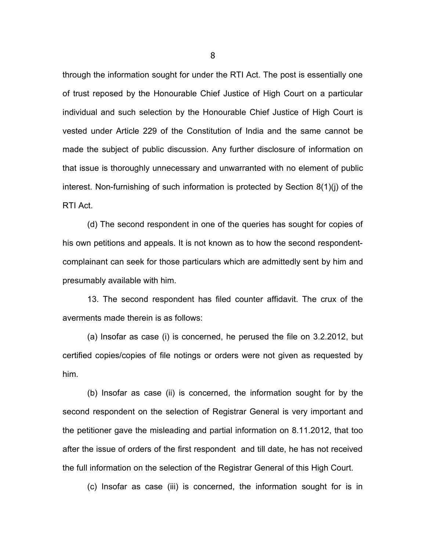through the information sought for under the RTI Act. The post is essentially one of trust reposed by the Honourable Chief Justice of High Court on a particular individual and such selection by the Honourable Chief Justice of High Court is vested under Article 229 of the Constitution of India and the same cannot be made the subject of public discussion. Any further disclosure of information on that issue is thoroughly unnecessary and unwarranted with no element of public interest. Non-furnishing of such information is protected by Section 8(1)(j) of the RTI Act.

(d) The second respondent in one of the queries has sought for copies of his own petitions and appeals. It is not known as to how the second respondentcomplainant can seek for those particulars which are admittedly sent by him and presumably available with him.

13. The second respondent has filed counter affidavit. The crux of the averments made therein is as follows:

(a) Insofar as case (i) is concerned, he perused the file on 3.2.2012, but certified copies/copies of file notings or orders were not given as requested by him.

(b) Insofar as case (ii) is concerned, the information sought for by the second respondent on the selection of Registrar General is very important and the petitioner gave the misleading and partial information on 8.11.2012, that too after the issue of orders of the first respondent and till date, he has not received the full information on the selection of the Registrar General of this High Court.

(c) Insofar as case (iii) is concerned, the information sought for is in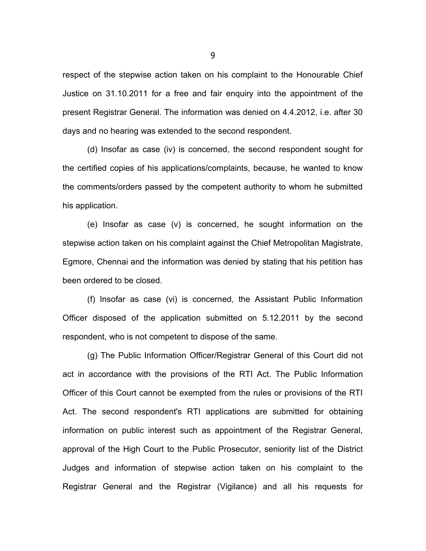respect of the stepwise action taken on his complaint to the Honourable Chief Justice on 31.10.2011 for a free and fair enquiry into the appointment of the present Registrar General. The information was denied on 4.4.2012, i.e. after 30 days and no hearing was extended to the second respondent.

(d) Insofar as case (iv) is concerned, the second respondent sought for the certified copies of his applications/complaints, because, he wanted to know the comments/orders passed by the competent authority to whom he submitted his application.

(e) Insofar as case (v) is concerned, he sought information on the stepwise action taken on his complaint against the Chief Metropolitan Magistrate, Egmore, Chennai and the information was denied by stating that his petition has been ordered to be closed.

(f) Insofar as case (vi) is concerned, the Assistant Public Information Officer disposed of the application submitted on 5.12.2011 by the second respondent, who is not competent to dispose of the same.

(g) The Public Information Officer/Registrar General of this Court did not act in accordance with the provisions of the RTI Act. The Public Information Officer of this Court cannot be exempted from the rules or provisions of the RTI Act. The second respondent's RTI applications are submitted for obtaining information on public interest such as appointment of the Registrar General, approval of the High Court to the Public Prosecutor, seniority list of the District Judges and information of stepwise action taken on his complaint to the Registrar General and the Registrar (Vigilance) and all his requests for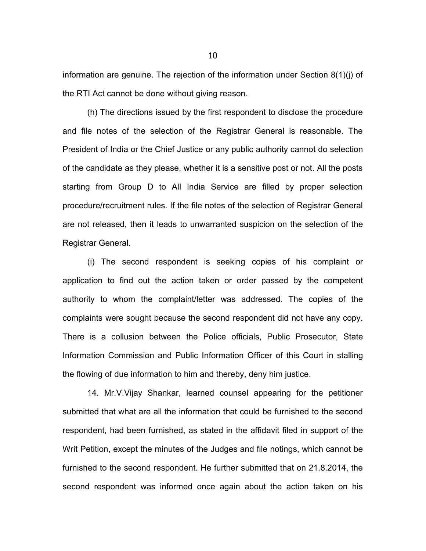information are genuine. The rejection of the information under Section 8(1)(j) of the RTI Act cannot be done without giving reason.

(h) The directions issued by the first respondent to disclose the procedure and file notes of the selection of the Registrar General is reasonable. The President of India or the Chief Justice or any public authority cannot do selection of the candidate as they please, whether it is a sensitive post or not. All the posts starting from Group D to All India Service are filled by proper selection procedure/recruitment rules. If the file notes of the selection of Registrar General are not released, then it leads to unwarranted suspicion on the selection of the Registrar General.

(i) The second respondent is seeking copies of his complaint or application to find out the action taken or order passed by the competent authority to whom the complaint/letter was addressed. The copies of the complaints were sought because the second respondent did not have any copy. There is a collusion between the Police officials, Public Prosecutor, State Information Commission and Public Information Officer of this Court in stalling the flowing of due information to him and thereby, deny him justice.

14. Mr.V.Vijay Shankar, learned counsel appearing for the petitioner submitted that what are all the information that could be furnished to the second respondent, had been furnished, as stated in the affidavit filed in support of the Writ Petition, except the minutes of the Judges and file notings, which cannot be furnished to the second respondent. He further submitted that on 21.8.2014, the second respondent was informed once again about the action taken on his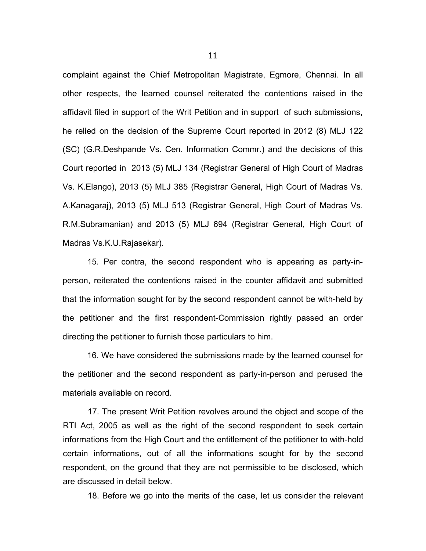complaint against the Chief Metropolitan Magistrate, Egmore, Chennai. In all other respects, the learned counsel reiterated the contentions raised in the affidavit filed in support of the Writ Petition and in support of such submissions, he relied on the decision of the Supreme Court reported in 2012 (8) MLJ 122 (SC) (G.R.Deshpande Vs. Cen. Information Commr.) and the decisions of this Court reported in 2013 (5) MLJ 134 (Registrar General of High Court of Madras Vs. K.Elango), 2013 (5) MLJ 385 (Registrar General, High Court of Madras Vs. A.Kanagaraj), 2013 (5) MLJ 513 (Registrar General, High Court of Madras Vs. R.M.Subramanian) and 2013 (5) MLJ 694 (Registrar General, High Court of Madras Vs.K.U.Rajasekar).

15. Per contra, the second respondent who is appearing as party-inperson, reiterated the contentions raised in the counter affidavit and submitted that the information sought for by the second respondent cannot be with-held by the petitioner and the first respondent-Commission rightly passed an order directing the petitioner to furnish those particulars to him.

16. We have considered the submissions made by the learned counsel for the petitioner and the second respondent as party-in-person and perused the materials available on record.

17. The present Writ Petition revolves around the object and scope of the RTI Act, 2005 as well as the right of the second respondent to seek certain informations from the High Court and the entitlement of the petitioner to with-hold certain informations, out of all the informations sought for by the second respondent, on the ground that they are not permissible to be disclosed, which are discussed in detail below.

18. Before we go into the merits of the case, let us consider the relevant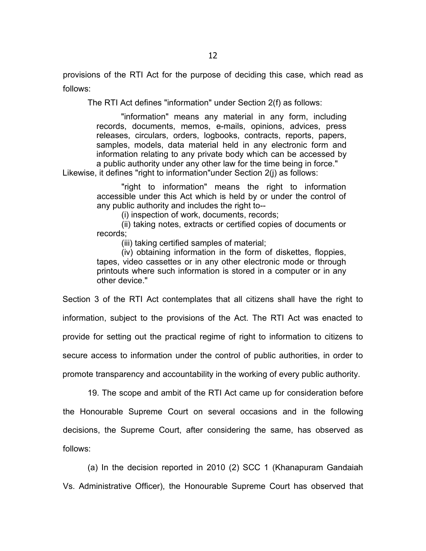provisions of the RTI Act for the purpose of deciding this case, which read as follows:

The RTI Act defines "information" under Section 2(f) as follows:

"information" means any material in any form, including records, documents, memos, e-mails, opinions, advices, press releases, circulars, orders, logbooks, contracts, reports, papers, samples, models, data material held in any electronic form and information relating to any private body which can be accessed by a public authority under any other law for the time being in force." Likewise, it defines "right to information"under Section 2(j) as follows:

> "right to information" means the right to information accessible under this Act which is held by or under the control of any public authority and includes the right to--

(i) inspection of work, documents, records;

(ii) taking notes, extracts or certified copies of documents or records;

(iii) taking certified samples of material;

(iv) obtaining information in the form of diskettes, floppies, tapes, video cassettes or in any other electronic mode or through printouts where such information is stored in a computer or in any other device."

Section 3 of the RTI Act contemplates that all citizens shall have the right to information, subject to the provisions of the Act. The RTI Act was enacted to provide for setting out the practical regime of right to information to citizens to secure access to information under the control of public authorities, in order to promote transparency and accountability in the working of every public authority.

19. The scope and ambit of the RTI Act came up for consideration before the Honourable Supreme Court on several occasions and in the following decisions, the Supreme Court, after considering the same, has observed as follows:

(a) In the decision reported in 2010 (2) SCC 1 (Khanapuram Gandaiah Vs. Administrative Officer), the Honourable Supreme Court has observed that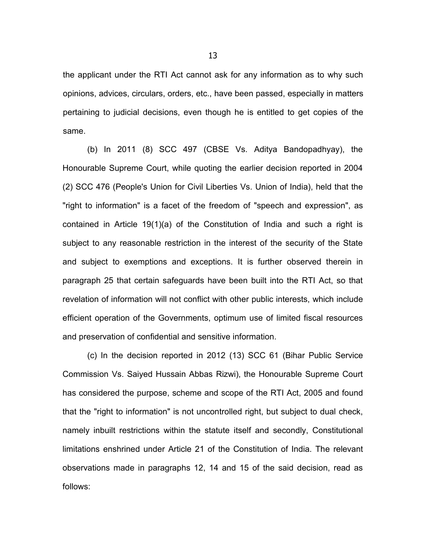the applicant under the RTI Act cannot ask for any information as to why such opinions, advices, circulars, orders, etc., have been passed, especially in matters pertaining to judicial decisions, even though he is entitled to get copies of the same.

(b) In 2011 (8) SCC 497 (CBSE Vs. Aditya Bandopadhyay), the Honourable Supreme Court, while quoting the earlier decision reported in 2004 (2) SCC 476 (People's Union for Civil Liberties Vs. Union of India), held that the "right to information" is a facet of the freedom of "speech and expression", as contained in Article 19(1)(a) of the Constitution of India and such a right is subject to any reasonable restriction in the interest of the security of the State and subject to exemptions and exceptions. It is further observed therein in paragraph 25 that certain safeguards have been built into the RTI Act, so that revelation of information will not conflict with other public interests, which include efficient operation of the Governments, optimum use of limited fiscal resources and preservation of confidential and sensitive information.

(c) In the decision reported in 2012 (13) SCC 61 (Bihar Public Service Commission Vs. Saiyed Hussain Abbas Rizwi), the Honourable Supreme Court has considered the purpose, scheme and scope of the RTI Act, 2005 and found that the "right to information" is not uncontrolled right, but subject to dual check, namely inbuilt restrictions within the statute itself and secondly, Constitutional limitations enshrined under Article 21 of the Constitution of India. The relevant observations made in paragraphs 12, 14 and 15 of the said decision, read as follows: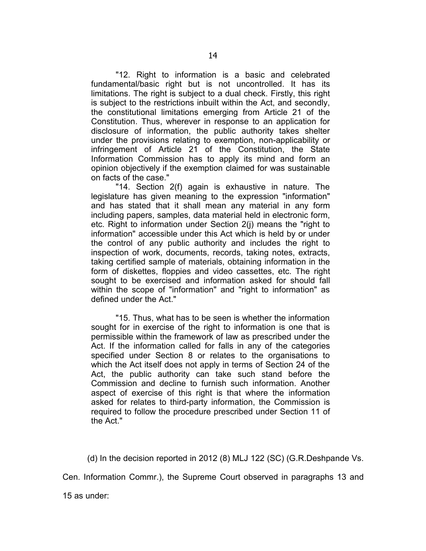"12. Right to information is a basic and celebrated fundamental/basic right but is not uncontrolled. It has its limitations. The right is subject to a dual check. Firstly, this right is subject to the restrictions inbuilt within the Act, and secondly, the constitutional limitations emerging from Article 21 of the Constitution. Thus, wherever in response to an application for disclosure of information, the public authority takes shelter under the provisions relating to exemption, non-applicability or infringement of Article 21 of the Constitution, the State Information Commission has to apply its mind and form an opinion objectively if the exemption claimed for was sustainable on facts of the case."

"14. Section 2(f) again is exhaustive in nature. The legislature has given meaning to the expression "information" and has stated that it shall mean any material in any form including papers, samples, data material held in electronic form, etc. Right to information under Section 2(j) means the "right to information" accessible under this Act which is held by or under the control of any public authority and includes the right to inspection of work, documents, records, taking notes, extracts, taking certified sample of materials, obtaining information in the form of diskettes, floppies and video cassettes, etc. The right sought to be exercised and information asked for should fall within the scope of "information" and "right to information" as defined under the Act."

"15. Thus, what has to be seen is whether the information sought for in exercise of the right to information is one that is permissible within the framework of law as prescribed under the Act. If the information called for falls in any of the categories specified under Section 8 or relates to the organisations to which the Act itself does not apply in terms of Section 24 of the Act, the public authority can take such stand before the Commission and decline to furnish such information. Another aspect of exercise of this right is that where the information asked for relates to third-party information, the Commission is required to follow the procedure prescribed under Section 11 of the Act."

(d) In the decision reported in 2012 (8) MLJ 122 (SC) (G.R.Deshpande Vs.

Cen. Information Commr.), the Supreme Court observed in paragraphs 13 and

15 as under: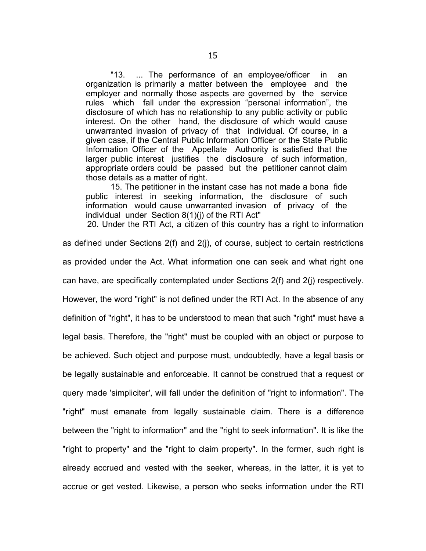"13. ... The performance of an employee/officer in an organization is primarily a matter between the employee and the employer and normally those aspects are governed by the service rules which fall under the expression "personal information", the disclosure of which has no relationship to any public activity or public interest. On the other hand, the disclosure of which would cause unwarranted invasion of privacy of that individual. Of course, in a given case, if the Central Public Information Officer or the State Public Information Officer of the Appellate Authority is satisfied that the larger public interest justifies the disclosure of such information, appropriate orders could be passed but the petitioner cannot claim those details as a matter of right.

15. The petitioner in the instant case has not made a bona fide public interest in seeking information, the disclosure of such information would cause unwarranted invasion of privacy of the individual under Section 8(1)(j) of the RTI Act"

20. Under the RTI Act, a citizen of this country has a right to information

as defined under Sections 2(f) and 2(j), of course, subject to certain restrictions as provided under the Act. What information one can seek and what right one can have, are specifically contemplated under Sections 2(f) and 2(j) respectively. However, the word "right" is not defined under the RTI Act. In the absence of any definition of "right", it has to be understood to mean that such "right" must have a legal basis. Therefore, the "right" must be coupled with an object or purpose to be achieved. Such object and purpose must, undoubtedly, have a legal basis or be legally sustainable and enforceable. It cannot be construed that a request or query made 'simpliciter', will fall under the definition of "right to information". The "right" must emanate from legally sustainable claim. There is a difference between the "right to information" and the "right to seek information". It is like the "right to property" and the "right to claim property". In the former, such right is already accrued and vested with the seeker, whereas, in the latter, it is yet to accrue or get vested. Likewise, a person who seeks information under the RTI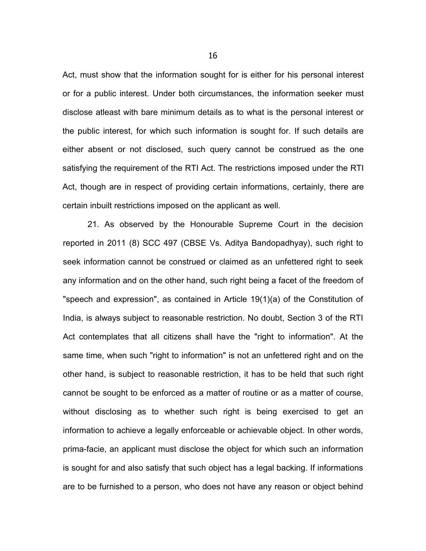Act, must show that the information sought for is either for his personal interest or for a public interest. Under both circumstances, the information seeker must disclose atleast with bare minimum details as to what is the personal interest or the public interest, for which such information is sought for. If such details are either absent or not disclosed, such query cannot be construed as the one satisfying the requirement of the RTI Act. The restrictions imposed under the RTI Act, though are in respect of providing certain informations, certainly, there are certain inbuilt restrictions imposed on the applicant as well.

21. As observed by the Honourable Supreme Court in the decision reported in 2011 (8) SCC 497 (CBSE Vs. Aditya Bandopadhyay), such right to seek information cannot be construed or claimed as an unfettered right to seek any information and on the other hand, such right being a facet of the freedom of "speech and expression", as contained in Article 19(1)(a) of the Constitution of India, is always subject to reasonable restriction. No doubt, Section 3 of the RTI Act contemplates that all citizens shall have the "right to information". At the same time, when such "right to information" is not an unfettered right and on the other hand, is subject to reasonable restriction, it has to be held that such right cannot be sought to be enforced as a matter of routine or as a matter of course, without disclosing as to whether such right is being exercised to get an information to achieve a legally enforceable or achievable object. In other words, prima-facie, an applicant must disclose the object for which such an information is sought for and also satisfy that such object has a legal backing. If informations are to be furnished to a person, who does not have any reason or object behind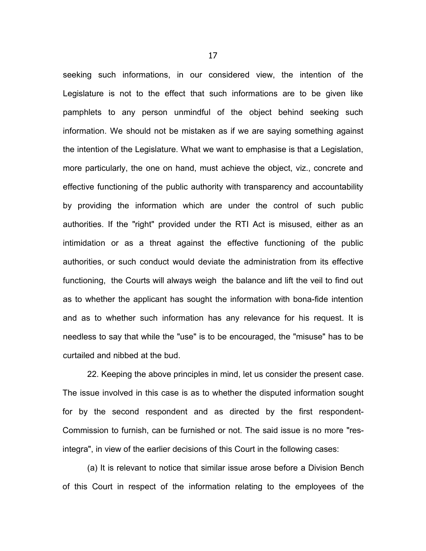seeking such informations, in our considered view, the intention of the Legislature is not to the effect that such informations are to be given like pamphlets to any person unmindful of the object behind seeking such information. We should not be mistaken as if we are saying something against the intention of the Legislature. What we want to emphasise is that a Legislation, more particularly, the one on hand, must achieve the object, viz., concrete and effective functioning of the public authority with transparency and accountability by providing the information which are under the control of such public authorities. If the "right" provided under the RTI Act is misused, either as an intimidation or as a threat against the effective functioning of the public authorities, or such conduct would deviate the administration from its effective functioning, the Courts will always weigh the balance and lift the veil to find out as to whether the applicant has sought the information with bona-fide intention and as to whether such information has any relevance for his request. It is needless to say that while the "use" is to be encouraged, the "misuse" has to be curtailed and nibbed at the bud.

22. Keeping the above principles in mind, let us consider the present case. The issue involved in this case is as to whether the disputed information sought for by the second respondent and as directed by the first respondent-Commission to furnish, can be furnished or not. The said issue is no more "resintegra", in view of the earlier decisions of this Court in the following cases:

(a) It is relevant to notice that similar issue arose before a Division Bench of this Court in respect of the information relating to the employees of the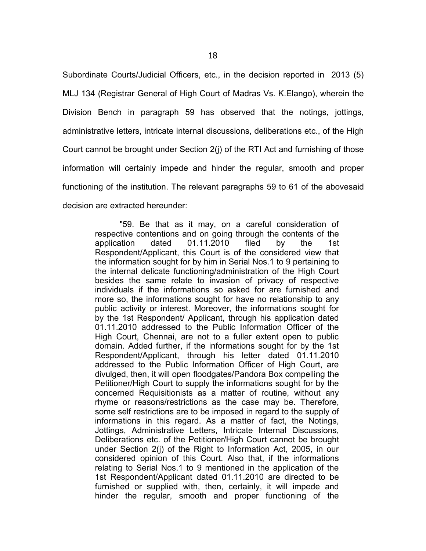Subordinate Courts/Judicial Officers, etc., in the decision reported in 2013 (5) MLJ 134 (Registrar General of High Court of Madras Vs. K.Elango), wherein the Division Bench in paragraph 59 has observed that the notings, jottings, administrative letters, intricate internal discussions, deliberations etc., of the High Court cannot be brought under Section 2(j) of the RTI Act and furnishing of those information will certainly impede and hinder the regular, smooth and proper functioning of the institution. The relevant paragraphs 59 to 61 of the abovesaid decision are extracted hereunder:

> "59. Be that as it may, on a careful consideration of respective contentions and on going through the contents of the application dated 01.11.2010 filed by the 1st Respondent/Applicant, this Court is of the considered view that the information sought for by him in Serial Nos.1 to 9 pertaining to the internal delicate functioning/administration of the High Court besides the same relate to invasion of privacy of respective individuals if the informations so asked for are furnished and more so, the informations sought for have no relationship to any public activity or interest. Moreover, the informations sought for by the 1st Respondent/ Applicant, through his application dated 01.11.2010 addressed to the Public Information Officer of the High Court, Chennai, are not to a fuller extent open to public domain. Added further, if the informations sought for by the 1st Respondent/Applicant, through his letter dated 01.11.2010 addressed to the Public Information Officer of High Court, are divulged, then, it will open floodgates/Pandora Box compelling the Petitioner/High Court to supply the informations sought for by the concerned Requisitionists as a matter of routine, without any rhyme or reasons/restrictions as the case may be. Therefore, some self restrictions are to be imposed in regard to the supply of informations in this regard. As a matter of fact, the Notings, Jottings, Administrative Letters, Intricate Internal Discussions, Deliberations etc. of the Petitioner/High Court cannot be brought under Section 2(j) of the Right to Information Act, 2005, in our considered opinion of this Court. Also that, if the informations relating to Serial Nos.1 to 9 mentioned in the application of the 1st Respondent/Applicant dated 01.11.2010 are directed to be furnished or supplied with, then, certainly, it will impede and hinder the regular, smooth and proper functioning of the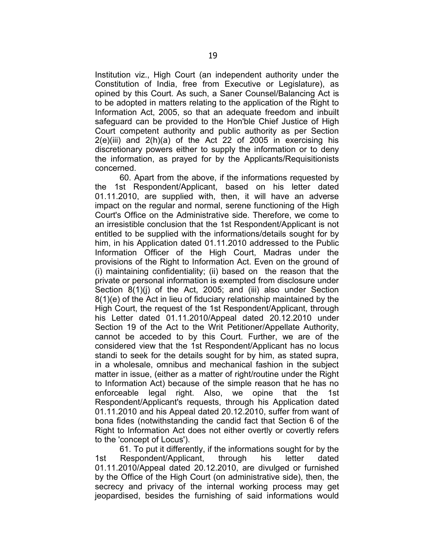Institution viz., High Court (an independent authority under the Constitution of India, free from Executive or Legislature), as opined by this Court. As such, a Saner Counsel/Balancing Act is to be adopted in matters relating to the application of the Right to Information Act, 2005, so that an adequate freedom and inbuilt safeguard can be provided to the Hon'ble Chief Justice of High Court competent authority and public authority as per Section  $2(e)$ (iii) and  $2(h)$ (a) of the Act 22 of 2005 in exercising his discretionary powers either to supply the information or to deny the information, as prayed for by the Applicants/Requisitionists concerned.

60. Apart from the above, if the informations requested by the 1st Respondent/Applicant, based on his letter dated 01.11.2010, are supplied with, then, it will have an adverse impact on the regular and normal, serene functioning of the High Court's Office on the Administrative side. Therefore, we come to an irresistible conclusion that the 1st Respondent/Applicant is not entitled to be supplied with the informations/details sought for by him, in his Application dated 01.11.2010 addressed to the Public Information Officer of the High Court, Madras under the provisions of the Right to Information Act. Even on the ground of (i) maintaining confidentiality; (ii) based on the reason that the private or personal information is exempted from disclosure under Section 8(1)(j) of the Act, 2005; and (iii) also under Section 8(1)(e) of the Act in lieu of fiduciary relationship maintained by the High Court, the request of the 1st Respondent/Applicant, through his Letter dated 01.11.2010/Appeal dated 20.12.2010 under Section 19 of the Act to the Writ Petitioner/Appellate Authority, cannot be acceded to by this Court. Further, we are of the considered view that the 1st Respondent/Applicant has no locus standi to seek for the details sought for by him, as stated supra, in a wholesale, omnibus and mechanical fashion in the subject matter in issue, (either as a matter of right/routine under the Right to Information Act) because of the simple reason that he has no enforceable legal right. Also, we opine that the 1st Respondent/Applicant's requests, through his Application dated 01.11.2010 and his Appeal dated 20.12.2010, suffer from want of bona fides (notwithstanding the candid fact that Section 6 of the Right to Information Act does not either overtly or covertly refers to the 'concept of Locus').

61. To put it differently, if the informations sought for by the 1st Respondent/Applicant, through his letter dated 01.11.2010/Appeal dated 20.12.2010, are divulged or furnished by the Office of the High Court (on administrative side), then, the secrecy and privacy of the internal working process may get jeopardised, besides the furnishing of said informations would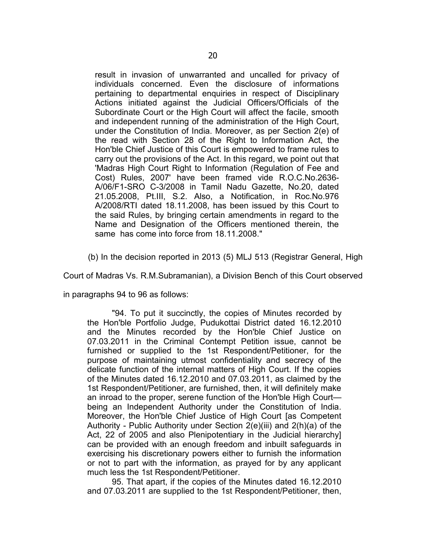result in invasion of unwarranted and uncalled for privacy of individuals concerned. Even the disclosure of informations pertaining to departmental enquiries in respect of Disciplinary Actions initiated against the Judicial Officers/Officials of the Subordinate Court or the High Court will affect the facile, smooth and independent running of the administration of the High Court, under the Constitution of India. Moreover, as per Section 2(e) of the read with Section 28 of the Right to Information Act, the Hon'ble Chief Justice of this Court is empowered to frame rules to carry out the provisions of the Act. In this regard, we point out that 'Madras High Court Right to Information (Regulation of Fee and Cost) Rules, 2007' have been framed vide R.O.C.No.2636- A/06/F1-SRO C-3/2008 in Tamil Nadu Gazette, No.20, dated 21.05.2008, Pt.III, S.2. Also, a Notification, in Roc.No.976 A/2008/RTI dated 18.11.2008, has been issued by this Court to the said Rules, by bringing certain amendments in regard to the Name and Designation of the Officers mentioned therein, the same has come into force from 18.11.2008."

(b) In the decision reported in 2013 (5) MLJ 513 (Registrar General, High

Court of Madras Vs. R.M.Subramanian), a Division Bench of this Court observed

in paragraphs 94 to 96 as follows:

"94. To put it succinctly, the copies of Minutes recorded by the Hon'ble Portfolio Judge, Pudukottai District dated 16.12.2010 and the Minutes recorded by the Hon'ble Chief Justice on 07.03.2011 in the Criminal Contempt Petition issue, cannot be furnished or supplied to the 1st Respondent/Petitioner, for the purpose of maintaining utmost confidentiality and secrecy of the delicate function of the internal matters of High Court. If the copies of the Minutes dated 16.12.2010 and 07.03.2011, as claimed by the 1st Respondent/Petitioner, are furnished, then, it will definitely make an inroad to the proper, serene function of the Hon'ble High Court being an Independent Authority under the Constitution of India. Moreover, the Hon'ble Chief Justice of High Court [as Competent Authority - Public Authority under Section 2(e)(iii) and 2(h)(a) of the Act, 22 of 2005 and also Plenipotentiary in the Judicial hierarchy] can be provided with an enough freedom and inbuilt safeguards in exercising his discretionary powers either to furnish the information or not to part with the information, as prayed for by any applicant much less the 1st Respondent/Petitioner.

95. That apart, if the copies of the Minutes dated 16.12.2010 and 07.03.2011 are supplied to the 1st Respondent/Petitioner, then,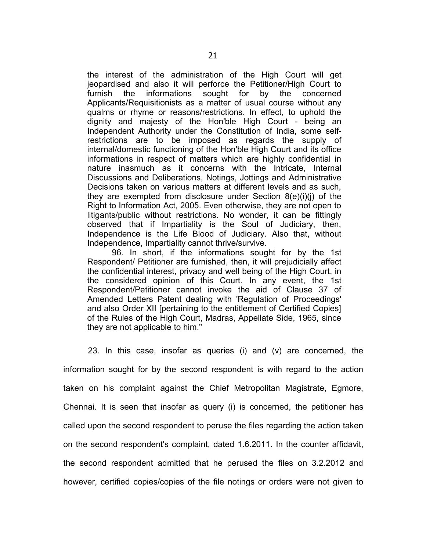the interest of the administration of the High Court will get jeopardised and also it will perforce the Petitioner/High Court to furnish the informations sought for by the concerned Applicants/Requisitionists as a matter of usual course without any qualms or rhyme or reasons/restrictions. In effect, to uphold the dignity and majesty of the Hon'ble High Court - being an Independent Authority under the Constitution of India, some selfrestrictions are to be imposed as regards the supply of internal/domestic functioning of the Hon'ble High Court and its office informations in respect of matters which are highly confidential in nature inasmuch as it concerns with the Intricate, Internal Discussions and Deliberations, Notings, Jottings and Administrative Decisions taken on various matters at different levels and as such, they are exempted from disclosure under Section  $8(e)(i)(j)$  of the Right to Information Act, 2005. Even otherwise, they are not open to litigants/public without restrictions. No wonder, it can be fittingly observed that if Impartiality is the Soul of Judiciary, then, Independence is the Life Blood of Judiciary. Also that, without Independence, Impartiality cannot thrive/survive.

96. In short, if the informations sought for by the 1st Respondent/ Petitioner are furnished, then, it will prejudicially affect the confidential interest, privacy and well being of the High Court, in the considered opinion of this Court. In any event, the 1st Respondent/Petitioner cannot invoke the aid of Clause 37 of Amended Letters Patent dealing with 'Regulation of Proceedings' and also Order XII [pertaining to the entitlement of Certified Copies] of the Rules of the High Court, Madras, Appellate Side, 1965, since they are not applicable to him."

23. In this case, insofar as queries (i) and (v) are concerned, the information sought for by the second respondent is with regard to the action taken on his complaint against the Chief Metropolitan Magistrate, Egmore, Chennai. It is seen that insofar as query (i) is concerned, the petitioner has called upon the second respondent to peruse the files regarding the action taken on the second respondent's complaint, dated 1.6.2011. In the counter affidavit, the second respondent admitted that he perused the files on 3.2.2012 and however, certified copies/copies of the file notings or orders were not given to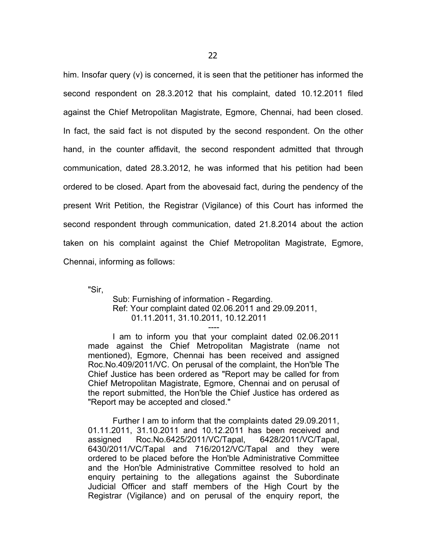him. Insofar query (v) is concerned, it is seen that the petitioner has informed the second respondent on 28.3.2012 that his complaint, dated 10.12.2011 filed against the Chief Metropolitan Magistrate, Egmore, Chennai, had been closed. In fact, the said fact is not disputed by the second respondent. On the other hand, in the counter affidavit, the second respondent admitted that through communication, dated 28.3.2012, he was informed that his petition had been ordered to be closed. Apart from the abovesaid fact, during the pendency of the present Writ Petition, the Registrar (Vigilance) of this Court has informed the second respondent through communication, dated 21.8.2014 about the action taken on his complaint against the Chief Metropolitan Magistrate, Egmore, Chennai, informing as follows:

"Sir,

Sub: Furnishing of information - Regarding. Ref: Your complaint dated 02.06.2011 and 29.09.2011, 01.11.2011, 31.10.2011, 10.12.2011

----

I am to inform you that your complaint dated 02.06.2011 made against the Chief Metropolitan Magistrate (name not mentioned), Egmore, Chennai has been received and assigned Roc.No.409/2011/VC. On perusal of the complaint, the Hon'ble The Chief Justice has been ordered as "Report may be called for from Chief Metropolitan Magistrate, Egmore, Chennai and on perusal of the report submitted, the Hon'ble the Chief Justice has ordered as "Report may be accepted and closed."

Further I am to inform that the complaints dated 29.09.2011, 01.11.2011, 31.10.2011 and 10.12.2011 has been received and assigned Roc.No.6425/2011/VC/Tapal, 6428/2011/VC/Tapal, 6430/2011/VC/Tapal and 716/2012/VC/Tapal and they were ordered to be placed before the Hon'ble Administrative Committee and the Hon'ble Administrative Committee resolved to hold an enquiry pertaining to the allegations against the Subordinate Judicial Officer and staff members of the High Court by the Registrar (Vigilance) and on perusal of the enquiry report, the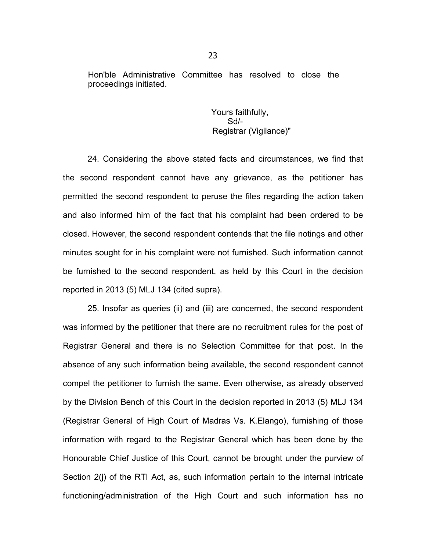Hon'ble Administrative Committee has resolved to close the proceedings initiated.

> Yours faithfully, Sd/- Registrar (Vigilance)"

24. Considering the above stated facts and circumstances, we find that the second respondent cannot have any grievance, as the petitioner has permitted the second respondent to peruse the files regarding the action taken and also informed him of the fact that his complaint had been ordered to be closed. However, the second respondent contends that the file notings and other minutes sought for in his complaint were not furnished. Such information cannot be furnished to the second respondent, as held by this Court in the decision reported in 2013 (5) MLJ 134 (cited supra).

25. Insofar as queries (ii) and (iii) are concerned, the second respondent was informed by the petitioner that there are no recruitment rules for the post of Registrar General and there is no Selection Committee for that post. In the absence of any such information being available, the second respondent cannot compel the petitioner to furnish the same. Even otherwise, as already observed by the Division Bench of this Court in the decision reported in 2013 (5) MLJ 134 (Registrar General of High Court of Madras Vs. K.Elango), furnishing of those information with regard to the Registrar General which has been done by the Honourable Chief Justice of this Court, cannot be brought under the purview of Section 2(j) of the RTI Act, as, such information pertain to the internal intricate functioning/administration of the High Court and such information has no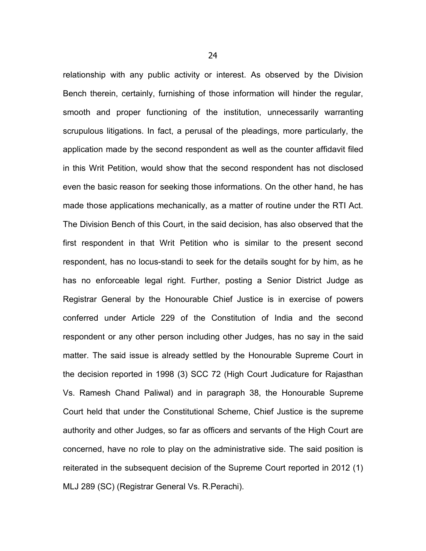relationship with any public activity or interest. As observed by the Division Bench therein, certainly, furnishing of those information will hinder the regular, smooth and proper functioning of the institution, unnecessarily warranting scrupulous litigations. In fact, a perusal of the pleadings, more particularly, the application made by the second respondent as well as the counter affidavit filed in this Writ Petition, would show that the second respondent has not disclosed even the basic reason for seeking those informations. On the other hand, he has made those applications mechanically, as a matter of routine under the RTI Act. The Division Bench of this Court, in the said decision, has also observed that the first respondent in that Writ Petition who is similar to the present second respondent, has no locus-standi to seek for the details sought for by him, as he has no enforceable legal right. Further, posting a Senior District Judge as Registrar General by the Honourable Chief Justice is in exercise of powers conferred under Article 229 of the Constitution of India and the second respondent or any other person including other Judges, has no say in the said matter. The said issue is already settled by the Honourable Supreme Court in the decision reported in 1998 (3) SCC 72 (High Court Judicature for Rajasthan Vs. Ramesh Chand Paliwal) and in paragraph 38, the Honourable Supreme Court held that under the Constitutional Scheme, Chief Justice is the supreme authority and other Judges, so far as officers and servants of the High Court are concerned, have no role to play on the administrative side. The said position is reiterated in the subsequent decision of the Supreme Court reported in 2012 (1) MLJ 289 (SC) (Registrar General Vs. R.Perachi).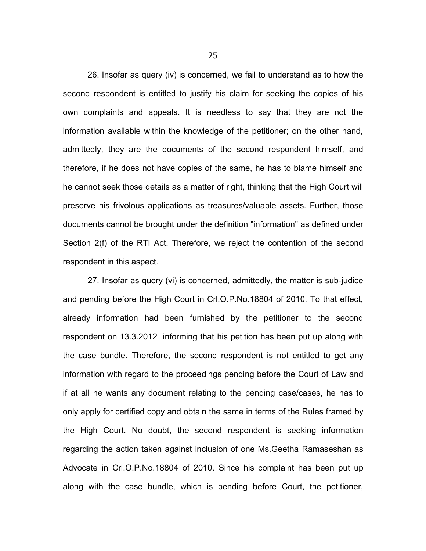26. Insofar as query (iv) is concerned, we fail to understand as to how the second respondent is entitled to justify his claim for seeking the copies of his own complaints and appeals. It is needless to say that they are not the information available within the knowledge of the petitioner; on the other hand, admittedly, they are the documents of the second respondent himself, and therefore, if he does not have copies of the same, he has to blame himself and he cannot seek those details as a matter of right, thinking that the High Court will preserve his frivolous applications as treasures/valuable assets. Further, those documents cannot be brought under the definition "information" as defined under Section 2(f) of the RTI Act. Therefore, we reject the contention of the second respondent in this aspect.

27. Insofar as query (vi) is concerned, admittedly, the matter is sub-judice and pending before the High Court in Crl.O.P.No.18804 of 2010. To that effect, already information had been furnished by the petitioner to the second respondent on 13.3.2012 informing that his petition has been put up along with the case bundle. Therefore, the second respondent is not entitled to get any information with regard to the proceedings pending before the Court of Law and if at all he wants any document relating to the pending case/cases, he has to only apply for certified copy and obtain the same in terms of the Rules framed by the High Court. No doubt, the second respondent is seeking information regarding the action taken against inclusion of one Ms.Geetha Ramaseshan as Advocate in Crl.O.P.No.18804 of 2010. Since his complaint has been put up along with the case bundle, which is pending before Court, the petitioner,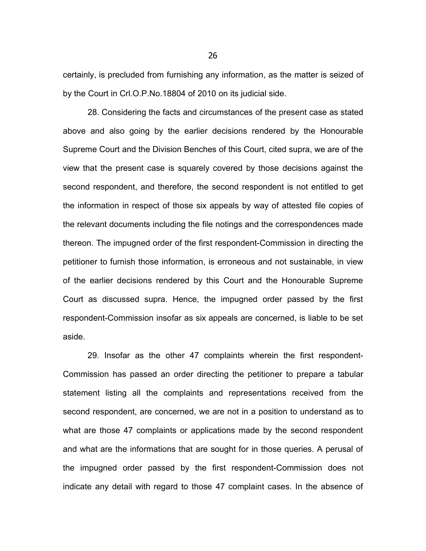certainly, is precluded from furnishing any information, as the matter is seized of by the Court in Crl.O.P.No.18804 of 2010 on its judicial side.

28. Considering the facts and circumstances of the present case as stated above and also going by the earlier decisions rendered by the Honourable Supreme Court and the Division Benches of this Court, cited supra, we are of the view that the present case is squarely covered by those decisions against the second respondent, and therefore, the second respondent is not entitled to get the information in respect of those six appeals by way of attested file copies of the relevant documents including the file notings and the correspondences made thereon. The impugned order of the first respondent-Commission in directing the petitioner to furnish those information, is erroneous and not sustainable, in view of the earlier decisions rendered by this Court and the Honourable Supreme Court as discussed supra. Hence, the impugned order passed by the first respondent-Commission insofar as six appeals are concerned, is liable to be set aside.

29. Insofar as the other 47 complaints wherein the first respondent-Commission has passed an order directing the petitioner to prepare a tabular statement listing all the complaints and representations received from the second respondent, are concerned, we are not in a position to understand as to what are those 47 complaints or applications made by the second respondent and what are the informations that are sought for in those queries. A perusal of the impugned order passed by the first respondent-Commission does not indicate any detail with regard to those 47 complaint cases. In the absence of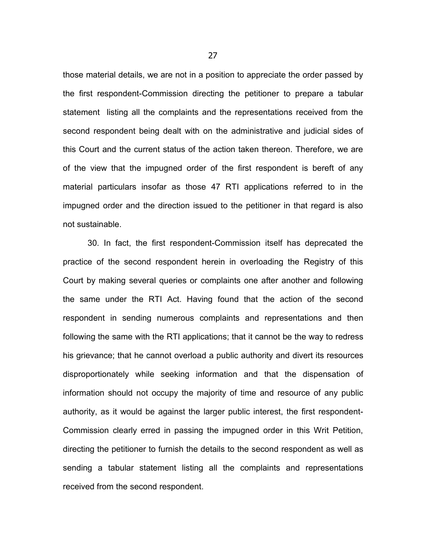those material details, we are not in a position to appreciate the order passed by the first respondent-Commission directing the petitioner to prepare a tabular statement listing all the complaints and the representations received from the second respondent being dealt with on the administrative and judicial sides of this Court and the current status of the action taken thereon. Therefore, we are of the view that the impugned order of the first respondent is bereft of any material particulars insofar as those 47 RTI applications referred to in the impugned order and the direction issued to the petitioner in that regard is also not sustainable.

30. In fact, the first respondent-Commission itself has deprecated the practice of the second respondent herein in overloading the Registry of this Court by making several queries or complaints one after another and following the same under the RTI Act. Having found that the action of the second respondent in sending numerous complaints and representations and then following the same with the RTI applications; that it cannot be the way to redress his grievance; that he cannot overload a public authority and divert its resources disproportionately while seeking information and that the dispensation of information should not occupy the majority of time and resource of any public authority, as it would be against the larger public interest, the first respondent-Commission clearly erred in passing the impugned order in this Writ Petition, directing the petitioner to furnish the details to the second respondent as well as sending a tabular statement listing all the complaints and representations received from the second respondent.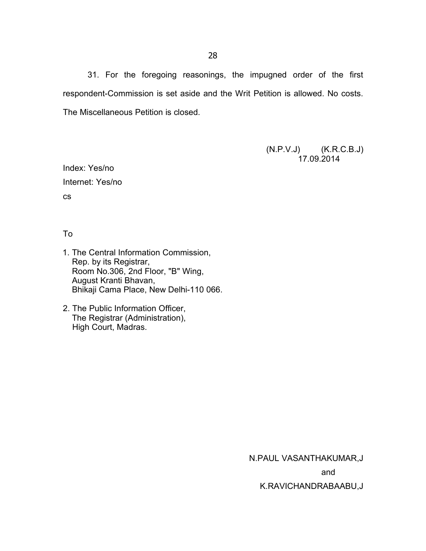31. For the foregoing reasonings, the impugned order of the first respondent-Commission is set aside and the Writ Petition is allowed. No costs. The Miscellaneous Petition is closed.

> (N.P.V.J) (K.R.C.B.J) 17.09.2014

Index: Yes/no Internet: Yes/no cs

To

- 1. The Central Information Commission, Rep. by its Registrar, Room No.306, 2nd Floor, "B" Wing, August Kranti Bhavan, Bhikaji Cama Place, New Delhi-110 066.
- 2. The Public Information Officer, The Registrar (Administration), High Court, Madras.

N.PAUL VASANTHAKUMAR,J

and

K.RAVICHANDRABAABU,J